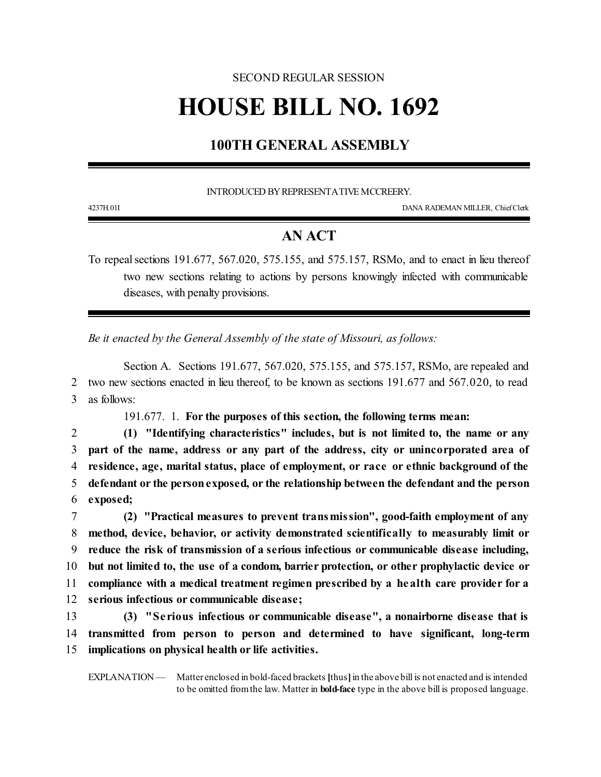## SECOND REGULAR SESSION **HOUSE BILL NO. 1692**

## **100TH GENERAL ASSEMBLY**

INTRODUCED BYREPRESENTATIVEMCCREERY.

4237H.01I DANA RADEMAN MILLER, ChiefClerk

## **AN ACT**

To repeal sections 191.677, 567.020, 575.155, and 575.157, RSMo, and to enact in lieu thereof two new sections relating to actions by persons knowingly infected with communicable diseases, with penalty provisions.

*Be it enacted by the General Assembly of the state of Missouri, as follows:*

Section A. Sections 191.677, 567.020, 575.155, and 575.157, RSMo, are repealed and 2 two new sections enacted in lieu thereof, to be known as sections 191.677 and 567.020, to read 3 as follows:

191.677. 1. **For the purposes of this section, the following terms mean:**

 **(1) "Identifying characteristics" includes, but is not limited to, the name or any part of the name, address or any part of the address, city or unincorporated area of residence, age, marital status, place of employment, or race or ethnic background of the defendant or the personexposed, or the relationship between the defendant and the person** 6 **exposed;**

 **(2) "Practical measures to prevent transmission", good-faith employment of any method, device, behavior, or activity demonstrated scientifically to measurably limit or reduce the risk of transmission of a serious infectious or communicable disease including, but not limited to, the use of a condom, barrier protection, or other prophylactic device or compliance with a medical treatment regimen prescribed by a health care provider for a serious infectious or communicable disease;**

13 **(3) "Se rious infectious or communicable disease", a nonairborne disease that is** 14 **transmitted from person to person and determined to have significant, long-term** 15 **implications on physical health or life activities.**

EXPLANATION — Matter enclosed in bold-faced brackets [thus] in the above bill is not enacted and is intended to be omitted fromthe law. Matter in **bold-face** type in the above bill is proposed language.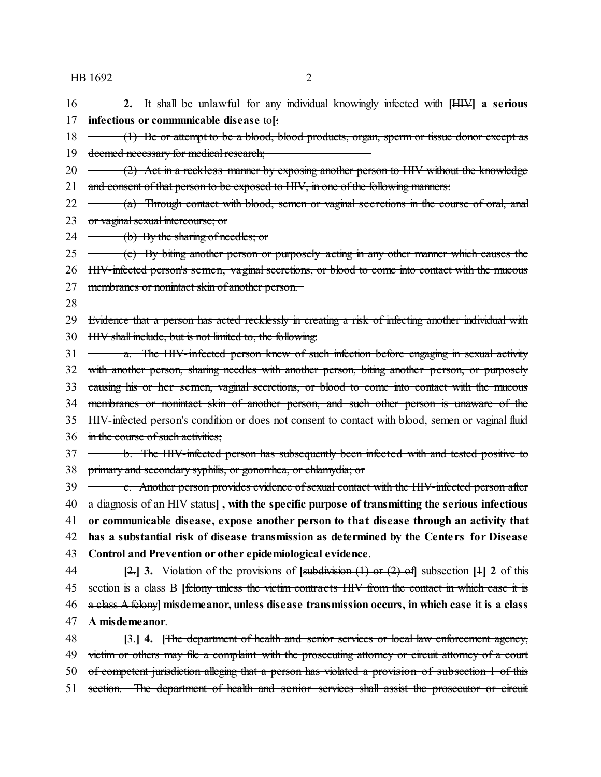HB 1692 2

- **2.** It shall be unlawful for any individual knowingly infected with **[**HIV**] a serious infectious or communicable disease** to**[**:
- 18 (1) Be or attempt to be a blood, blood products, organ, sperm or tissue donor except as 19 deemed necessary for medical research;
- 20  $\rightarrow$  (2) Act in a reckless manner by exposing another person to HIV without the knowledge 21 and consent of that person to be exposed to HIV, in one of the following manners:
- 22 (a) Through contact with blood, semen or vaginal secretions in the course of oral, anal 23 or vaginal sexual intercourse; or
- 24  $-$  (b) By the sharing of needles; or
- 25 (c) By biting another person or purposely acting in any other manner which causes the
- HIV-infected person's semen, vaginal secretions, or blood to come into contact with the mucous
- membranes or nonintact skin of another person.
- 

 Evidence that a person has acted recklessly in creating a risk of infecting another individual with HIV shall include, but is not limited to, the following:

- $\longrightarrow$   $\alpha$ . The HIV-infected person knew of such infection before engaging in sexual activity with another person, sharing needles with another person, biting another person, or purposely causing his or her semen, vaginal secretions, or blood to come into contact with the mucous
- 
- membranes or nonintact skin of another person, and such other person is unaware of the
- HIV-infected person's condition or does not consent to contact with blood, semen or vaginal fluid
- 36 in the course of such activities:
- **b.** The HIV-infected person has subsequently been infected with and tested positive to primary and secondary syphilis, or gonorrhea, or chlamydia; or
- 39 c. Another person provides evidence of sexual contact with the HIV-infected person after a diagnosis of an HIV status**] , with the specific purpose of transmitting the serious infectious or communicable disease, expose another person to that disease through an activity that has a substantial risk of disease transmission as determined by the Cente rs for Disease Control and Prevention or other epidemiological evidence**.
- **[**2.**] 3.** Violation of the provisions of **[**subdivision (1) or (2) of**]** subsection **[**1**] 2** of this section is a class B **[**felony unless the victim contracts HIV from the contact in which case it is a class A felony**] misdemeanor, unless disease transmission occurs, in which case it is a class A misdemeanor**.
- **[**3.**] 4. [**The department of health and senior services or local law enforcement agency, 49 victim or others may file a complaint with the prosecuting attorney or circuit attorney of a court of competent jurisdiction alleging that a person has violated a provision of subsection 1 of this 51 section. The department of health and senior services shall assist the prosecutor or circuit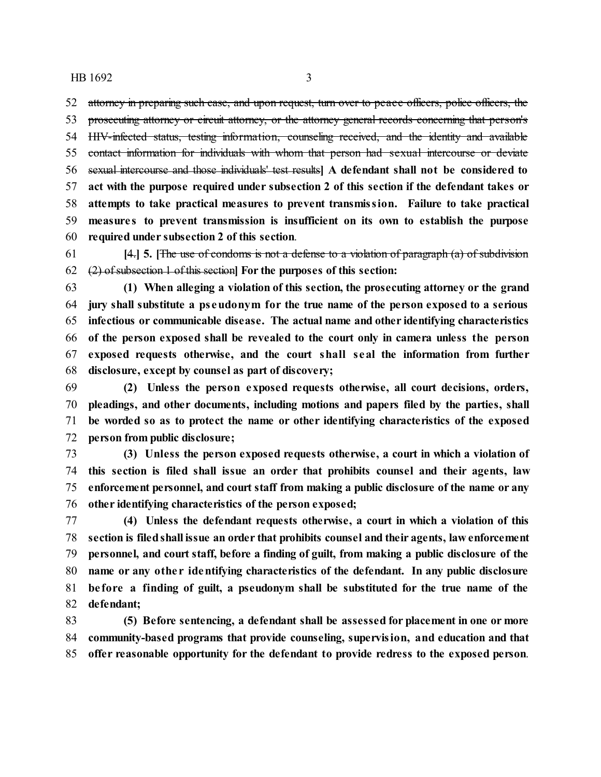HB 1692 3

 attorney in preparing such case, and upon request, turn over to peace officers, police officers, the prosecuting attorney or circuit attorney, or the attorney general records concerning that person's HIV-infected status, testing information, counseling received, and the identity and available contact information for individuals with whom that person had sexual intercourse or deviate sexual intercourse and those individuals' test results**] A defendant shall not be considered to act with the purpose required under subsection 2 of this section if the defendant takes or attempts to take practical measures to prevent transmission. Failure to take practical measure s to prevent transmission is insufficient on its own to establish the purpose required under subsection 2 of this section**.

 **[**4.**] 5. [**The use of condoms is not a defense to a violation of paragraph (a) of subdivision (2) of subsection 1 of this section**] For the purposes of this section:**

 **(1) When alleging a violation of this section, the prosecuting attorney or the grand jury shall substitute a ps eudonym for the true name of the person exposed to a serious infectious or communicable disease. The actual name and other identifying characteristics of the person exposed shall be revealed to the court only in camera unless the person exposed requests otherwise, and the court shall seal the information from further disclosure, except by counsel as part of discovery;**

 **(2) Unless the person exposed requests otherwise, all court decisions, orders, pleadings, and other documents, including motions and papers filed by the parties, shall be worded so as to protect the name or other identifying characteristics of the exposed person from public disclosure;**

 **(3) Unless the person exposed requests otherwise, a court in which a violation of this section is filed shall issue an order that prohibits counsel and their agents, law enforcement personnel, and court staff from making a public disclosure of the name or any other identifying characteristics of the person exposed;**

 **(4) Unless the defendant requests otherwise, a court in which a violation of this section is filedshall issue an order that prohibits counsel and their agents, law enforcement personnel, and court staff, before a finding of guilt, from making a public disclosure of the name or any othe r identifying characteristics of the defendant. In any public disclosure be fore a finding of guilt, a pseudonym shall be substituted for the true name of the defendant;**

 **(5) Before sentencing, a defendant shall be assessed for placement in one or more community-based programs that provide counseling, supervision, and education and that offer reasonable opportunity for the defendant to provide redress to the exposed person**.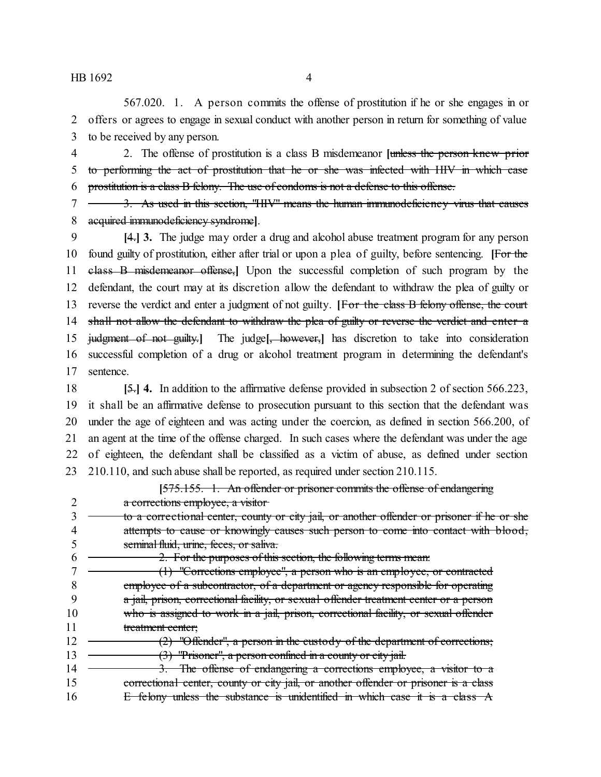567.020. 1. A person commits the offense of prostitution if he or she engages in or offers or agrees to engage in sexual conduct with another person in return for something of value to be received by any person.

 2. The offense of prostitution is a class B misdemeanor **[**unless the person knew prior to performing the act of prostitution that he or she was infected with HIV in which case prostitution is a class B felony. The use of condoms is not a defense to this offense.

 3. As used in this section, "HIV" means the human immunodeficiency virus that causes acquired immunodeficiency syndrome**]**.

 **[**4.**] 3.** The judge may order a drug and alcohol abuse treatment program for any person found guilty of prostitution, either after trial or upon a plea of guilty, before sentencing. **[**For the class B misdemeanor offense,**]** Upon the successful completion of such program by the defendant, the court may at its discretion allow the defendant to withdraw the plea of guilty or reverse the verdict and enter a judgment of not guilty. **[**For the class B felony offense, the court 14 shall not allow the defendant to withdraw the plea of guilty or reverse the verdict and enter a judgment of not guilty.**]** The judge**[**, however,**]** has discretion to take into consideration successful completion of a drug or alcohol treatment program in determining the defendant's sentence.

 **[**5.**] 4.** In addition to the affirmative defense provided in subsection 2 of section 566.223, it shall be an affirmative defense to prosecution pursuant to this section that the defendant was under the age of eighteen and was acting under the coercion, as defined in section 566.200, of an agent at the time of the offense charged. In such cases where the defendant was under the age of eighteen, the defendant shall be classified as a victim of abuse, as defined under section 210.110, and such abuse shall be reported, as required under section 210.115.

|    | [575.155. 1. An offender or prisoner commits the offense of endangering                     |
|----|---------------------------------------------------------------------------------------------|
|    | a corrections employee, a visitor-                                                          |
|    | to a correctional center, county or city jail, or another offender or prisoner if he or she |
|    | attempts to cause or knowingly causes such person to come into contact with blood,          |
|    | seminal fluid, urine, feces, or saliva.                                                     |
|    | 2. For the purposes of this section, the following terms mean:                              |
|    | $(1)$ "Corrections employee", a person who is an employee, or contracted                    |
|    | employee of a subcontractor, of a department or agency responsible for operating            |
|    | a jail, prison, correctional facility, or sexual offender treatment center or a person      |
| 10 | who is assigned to work in a jail, prison, correctional facility, or sexual offender        |
| 11 | treatment center;                                                                           |
| 12 | $(2)$ "Offender", a person in the custody of the department of corrections;                 |
| 13 | (3) "Prisoner", a person confined in a county or city jail.                                 |
| 14 | 3. The offense of endangering a corrections employee, a visitor to a                        |
| 15 | correctional center, county or city jail, or another offender or prisoner is a class        |
| 16 | E felony unless the substance is unidentified in which case it is a class $A$               |